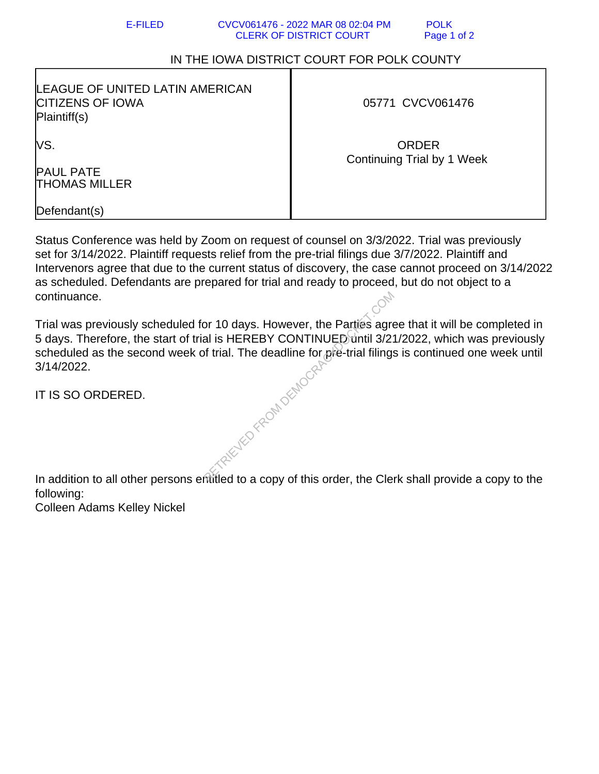## E-FILED CVCV061476 - 2022 MAR 08 02:04 PM POLK CLERK OF DISTRICT COURT Page 1 of 2

## IN THE IOWA DISTRICT COURT FOR POLK COUNTY

| LEAGUE OF UNITED LATIN AMERICAN<br><b>CITIZENS OF IOWA</b><br>Plaintiff(s) | 05771 CVCV061476                           |
|----------------------------------------------------------------------------|--------------------------------------------|
| lVS.<br><b>PAUL PATE</b><br>THOMAS MILLER                                  | <b>ORDER</b><br>Continuing Trial by 1 Week |
| Defendant(s)                                                               |                                            |

Status Conference was held by Zoom on request of counsel on 3/3/2022. Trial was previously set for 3/14/2022. Plaintiff requests relief from the pre-trial filings due 3/7/2022. Plaintiff and Intervenors agree that due to the current status of discovery, the case cannot proceed on 3/14/2022 as scheduled. Defendants are prepared for trial and ready to proceed, but do not object to a continuance.

Trial was previously scheduled for 10 days. However, the Parties agree that it will be completed in 5 days. Therefore, the start of trial is HEREBY CONTINUED until 3/21/2022, which was previously scheduled as the second week of trial. The deadline for pre-trial filings is continued one week until 3/14/2022. FENED FROM DEMOCR-

IT IS SO ORDERED.

In addition to all other persons entitled to a copy of this order, the Clerk shall provide a copy to the following:

Colleen Adams Kelley Nickel